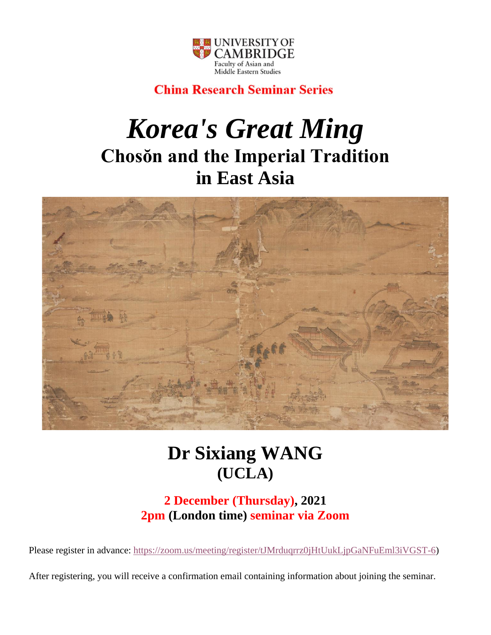

## **China Research Seminar Series**

# *Korea's Great Ming* **Chosŏn and the Imperial Tradition in East Asia**



# **Dr Sixiang WANG (UCLA)**

### **2 December (Thursday), 2021 2pm (London time) seminar via Zoom**

Please register in advance: [https://zoom.us/meeting/register/tJMrduqrrz0jHtUukLjpGaNFuEml3iVGST-6\)](https://zoom.us/meeting/register/tJMrduqrrz0jHtUukLjpGaNFuEml3iVGST-6)

After registering, you will receive a confirmation email containing information about joining the seminar.